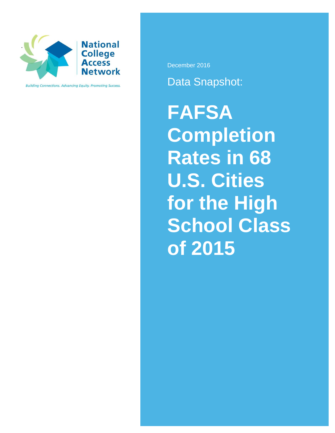

**Building Connections. Advancing Equity. Promoting Success.** 

December 2016

Data Snapshot:

**FAFSA Completion Rates in 68 U.S. Cities for the High School Class of 2015**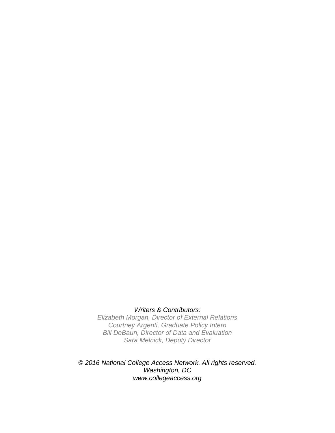## *Writers & Contributors:*

*Elizabeth Morgan, Director of External Relations Courtney Argenti, Graduate Policy Intern Bill DeBaun, Director of Data and Evaluation Sara Melnick, Deputy Director*

*© 2016 National College Access Network. All rights reserved. Washington, DC www.collegeaccess.org*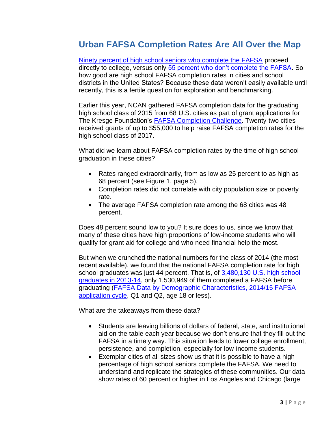## **Urban FAFSA Completion Rates Are All Over the Map**

[Ninety percent of high school seniors who complete the FAFSA](https://nces.ed.gov/surveys/els2002/tables/table_01.asp) proceed directly to college, versus only [55 percent who don't complete the FAFSA.](https://nces.ed.gov/surveys/els2002/tables/table_02.asp) So how good are high school FAFSA completion rates in cities and school districts in the United States? Because these data weren't easily available until recently, this is a fertile question for exploration and benchmarking.

Earlier this year, NCAN gathered FAFSA completion data for the graduating high school class of 2015 from 68 U.S. cities as part of grant applications for The Kresge Foundation's [FAFSA Completion Challenge.](http://www.collegeaccess.org/FAFSAchallenge) Twenty-two cities received grants of up to \$55,000 to help raise FAFSA completion rates for the high school class of 2017.

What did we learn about FAFSA completion rates by the time of high school graduation in these cities?

- Rates ranged extraordinarily, from as low as 25 percent to as high as 68 percent (see Figure 1, page 5).
- Completion rates did not correlate with city population size or poverty rate.
- The average FAFSA completion rate among the 68 cities was 48 percent.

Does 48 percent sound low to you? It sure does to us, since we know that many of these cities have high proportions of low-income students who will qualify for grant aid for college and who need financial help the most.

But when we crunched the national numbers for the class of 2014 (the most recent available), we found that the national FAFSA completion rate for high school graduates was just 44 percent. That is, of [3,480,130 U.S. high school](https://nces.ed.gov/programs/digest/d15/tables/dt15_219.10.asp)  [graduates in 2013-14,](https://nces.ed.gov/programs/digest/d15/tables/dt15_219.10.asp) only 1,530,949 of them completed a FAFSA before graduating [\(FAFSA Data by Demographic Characteristics, 2014/15 FAFSA](https://studentaid.ed.gov/sa/about/data-center/student/application-volume/fafsa-school-state)  [application cycle,](https://studentaid.ed.gov/sa/about/data-center/student/application-volume/fafsa-school-state) Q1 and Q2, age 18 or less).

What are the takeaways from these data?

- Students are leaving billions of dollars of federal, state, and institutional aid on the table each year because we don't ensure that they fill out the FAFSA in a timely way. This situation leads to lower college enrollment, persistence, and completion, especially for low-income students.
- Exemplar cities of all sizes show us that it is possible to have a high percentage of high school seniors complete the FAFSA. We need to understand and replicate the strategies of these communities. Our data show rates of 60 percent or higher in Los Angeles and Chicago (large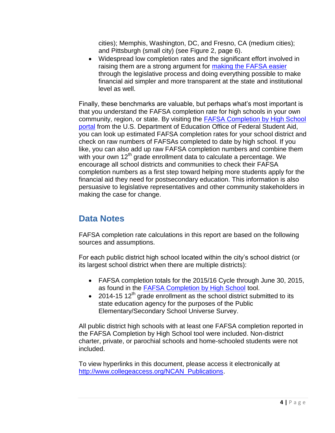cities); Memphis, Washington, DC, and Fresno, CA (medium cities); and Pittsburgh (small city) (see Figure 2, page 6).

 Widespread low completion rates and the significant effort involved in raising them are a strong argument for [making the FAFSA easier](http://www.collegeaccess.org/fixfafsa) through the legislative process and doing everything possible to make financial aid simpler and more transparent at the state and institutional level as well.

Finally, these benchmarks are valuable, but perhaps what's most important is that you understand the FAFSA completion rate for high schools in your own community, region, or state. By visiting the [FAFSA Completion by High School](https://studentaid.ed.gov/sa/about/data-center/student/application-volume/fafsa-completion-high-school)  [portal](https://studentaid.ed.gov/sa/about/data-center/student/application-volume/fafsa-completion-high-school) from the U.S. Department of Education Office of Federal Student Aid, you can look up estimated FAFSA completion rates for your school district and check on raw numbers of FAFSAs completed to date by high school. If you like, you can also add up raw FAFSA completion numbers and combine them with your own  $12<sup>th</sup>$  grade enrollment data to calculate a percentage. We encourage all school districts and communities to check their FAFSA completion numbers as a first step toward helping more students apply for the financial aid they need for postsecondary education. This information is also persuasive to legislative representatives and other community stakeholders in making the case for change.

## **Data Notes**

FAFSA completion rate calculations in this report are based on the following sources and assumptions.

For each public district high school located within the city's school district (or its largest school district when there are multiple districts):

- FAFSA completion totals for the 2015/16 Cycle through June 30, 2015, as found in the **FAFSA Completion by High School** tool.
- $\bullet$  2014-15 12<sup>th</sup> grade enrollment as the school district submitted to its state education agency for the purposes of the Public Elementary/Secondary School Universe Survey.

All public district high schools with at least one FAFSA completion reported in the FAFSA Completion by High School tool were included. Non-district charter, private, or parochial schools and home-schooled students were not included.

To view hyperlinks in this document, please access it electronically at [http://www.collegeaccess.org/NCAN\\_Publications.](http://www.collegeaccess.org/NCAN_Publications)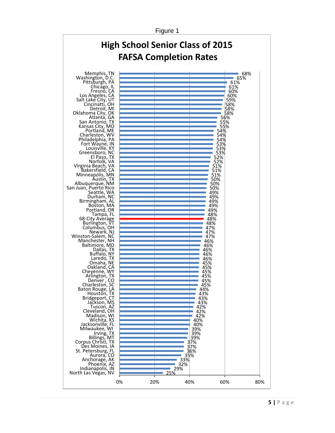